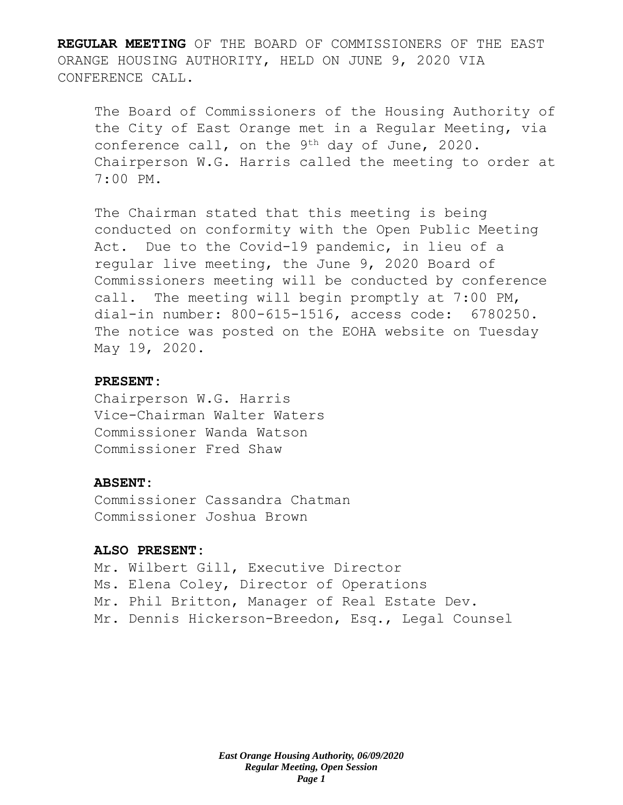**REGULAR MEETING** OF THE BOARD OF COMMISSIONERS OF THE EAST ORANGE HOUSING AUTHORITY, HELD ON JUNE 9, 2020 VIA CONFERENCE CALL.

The Board of Commissioners of the Housing Authority of the City of East Orange met in a Regular Meeting, via conference call, on the 9th day of June, 2020. Chairperson W.G. Harris called the meeting to order at 7:00 PM.

The Chairman stated that this meeting is being conducted on conformity with the Open Public Meeting Act. Due to the Covid-19 pandemic, in lieu of a regular live meeting, the June 9, 2020 Board of Commissioners meeting will be conducted by conference call. The meeting will begin promptly at 7:00 PM, dial-in number: 800-615-1516, access code: 6780250. The notice was posted on the EOHA website on Tuesday May 19, 2020.

## **PRESENT:**

Chairperson W.G. Harris Vice-Chairman Walter Waters Commissioner Wanda Watson Commissioner Fred Shaw

#### **ABSENT:**

Commissioner Cassandra Chatman Commissioner Joshua Brown

#### **ALSO PRESENT:**

Mr. Wilbert Gill, Executive Director Ms. Elena Coley, Director of Operations Mr. Phil Britton, Manager of Real Estate Dev. Mr. Dennis Hickerson-Breedon, Esq., Legal Counsel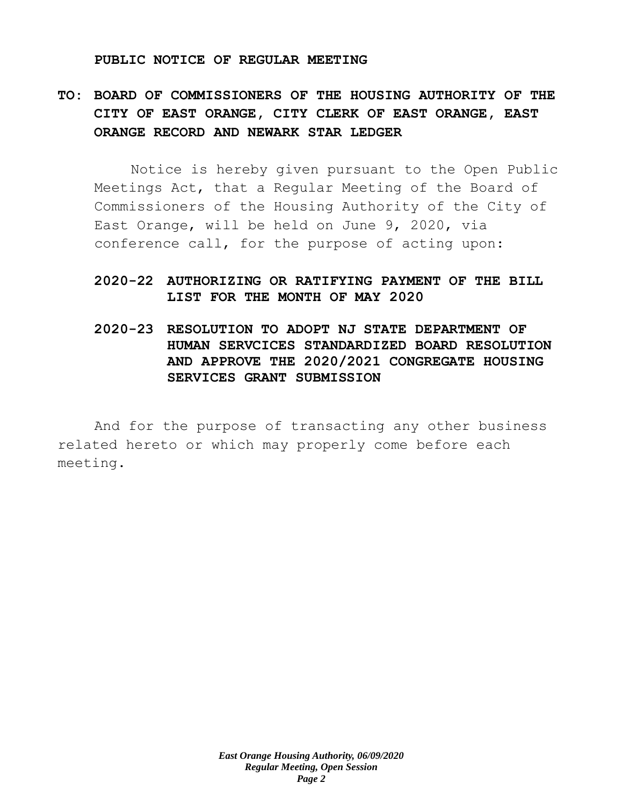#### **PUBLIC NOTICE OF REGULAR MEETING**

# **TO: BOARD OF COMMISSIONERS OF THE HOUSING AUTHORITY OF THE CITY OF EAST ORANGE, CITY CLERK OF EAST ORANGE, EAST ORANGE RECORD AND NEWARK STAR LEDGER**

Notice is hereby given pursuant to the Open Public Meetings Act, that a Regular Meeting of the Board of Commissioners of the Housing Authority of the City of East Orange, will be held on June 9, 2020, via conference call, for the purpose of acting upon:

## **2020-22 AUTHORIZING OR RATIFYING PAYMENT OF THE BILL LIST FOR THE MONTH OF MAY 2020**

**2020-23 RESOLUTION TO ADOPT NJ STATE DEPARTMENT OF HUMAN SERVCICES STANDARDIZED BOARD RESOLUTION AND APPROVE THE 2020/2021 CONGREGATE HOUSING SERVICES GRANT SUBMISSION**

And for the purpose of transacting any other business related hereto or which may properly come before each meeting.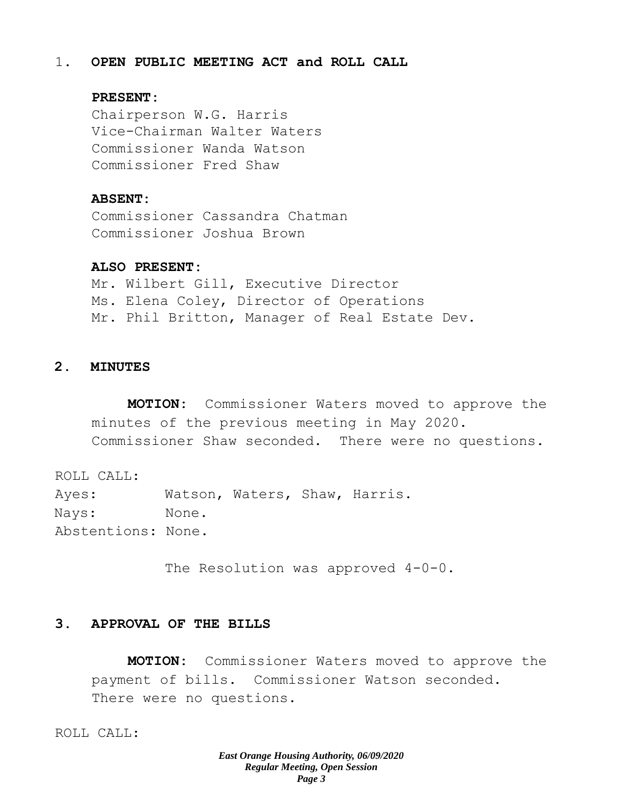## 1. **OPEN PUBLIC MEETING ACT and ROLL CALL**

## **PRESENT:**

Chairperson W.G. Harris Vice-Chairman Walter Waters Commissioner Wanda Watson Commissioner Fred Shaw

#### **ABSENT:**

Commissioner Cassandra Chatman Commissioner Joshua Brown

## **ALSO PRESENT:**

Mr. Wilbert Gill, Executive Director Ms. Elena Coley, Director of Operations Mr. Phil Britton, Manager of Real Estate Dev.

## **2. MINUTES**

**MOTION:** Commissioner Waters moved to approve the minutes of the previous meeting in May 2020. Commissioner Shaw seconded. There were no questions.

ROLL CALL: Ayes: Watson, Waters, Shaw, Harris. Nays: None. Abstentions: None.

The Resolution was approved 4-0-0.

## **3. APPROVAL OF THE BILLS**

**MOTION:** Commissioner Waters moved to approve the payment of bills. Commissioner Watson seconded. There were no questions.

ROLL CALL: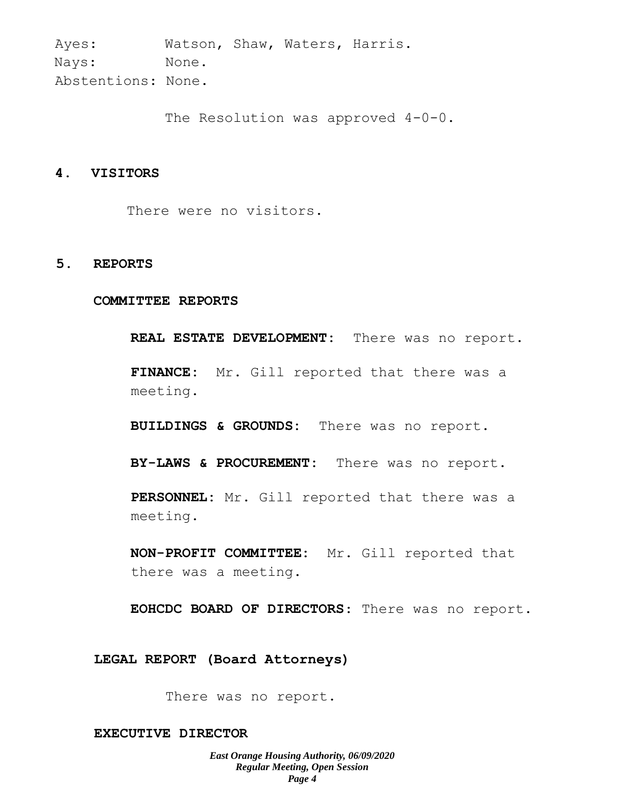Ayes: Watson, Shaw, Waters, Harris. Nays: None. Abstentions: None.

The Resolution was approved 4-0-0.

## **4. VISITORS**

There were no visitors.

#### **5. REPORTS**

#### **COMMITTEE REPORTS**

**REAL ESTATE DEVELOPMENT:** There was no report.

**FINANCE:** Mr. Gill reported that there was a meeting.

**BUILDINGS & GROUNDS:** There was no report.

**BY-LAWS & PROCUREMENT:** There was no report.

**PERSONNEL:** Mr. Gill reported that there was a meeting.

**NON-PROFIT COMMITTEE:** Mr. Gill reported that there was a meeting.

**EOHCDC BOARD OF DIRECTORS**: There was no report.

#### **LEGAL REPORT (Board Attorneys)**

There was no report.

#### **EXECUTIVE DIRECTOR**

*East Orange Housing Authority, 06/09/2020 Regular Meeting, Open Session Page 4*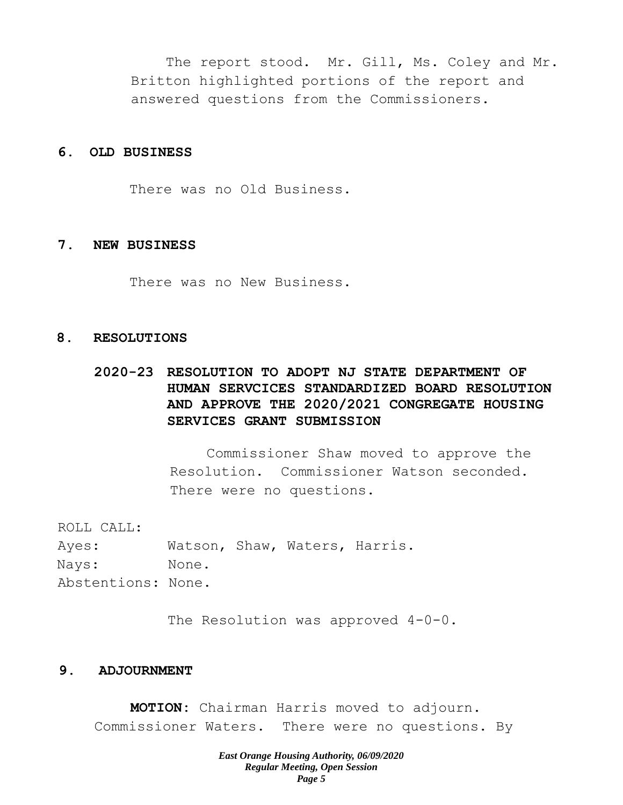The report stood. Mr. Gill, Ms. Coley and Mr. Britton highlighted portions of the report and answered questions from the Commissioners.

## **6. OLD BUSINESS**

There was no Old Business.

#### **7. NEW BUSINESS**

There was no New Business.

## **8. RESOLUTIONS**

# **2020-23 RESOLUTION TO ADOPT NJ STATE DEPARTMENT OF HUMAN SERVCICES STANDARDIZED BOARD RESOLUTION AND APPROVE THE 2020/2021 CONGREGATE HOUSING SERVICES GRANT SUBMISSION**

Commissioner Shaw moved to approve the Resolution. Commissioner Watson seconded. There were no questions.

ROLL CALL:

Ayes: Watson, Shaw, Waters, Harris. Nays: None. Abstentions: None.

The Resolution was approved  $4-0-0$ .

## **9. ADJOURNMENT**

**MOTION:** Chairman Harris moved to adjourn. Commissioner Waters. There were no questions. By